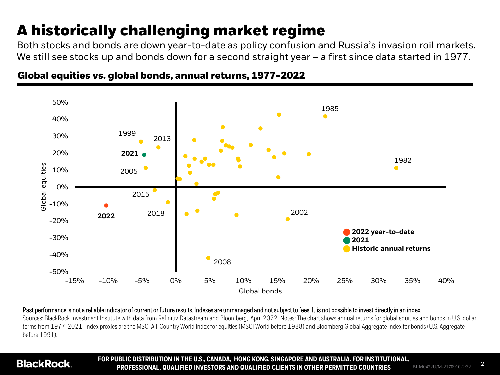# **A historically challenging market regime**

Both stocks and bonds are down year-to-date as policy confusion and Russia's invasion roil markets. We still see stocks up and bonds down for a second straight year - a first since data started in 1977.



## **Global equities vs. global bonds, annual returns, 1977-2022**

Past performance is not a reliable indicator of current or future results. Indexes are unmanaged and not subject to fees. It is not possible to invest directly in an index.

Sources: BlackRock Investment Institute with data from Refinitiv Datastream and Bloomberg, April 2022. Notes: The chart shows annual returns for global equities and bonds in U.S. dollar terms from 1977-2021. Index proxies are the MSCI All-Country World index for equities (MSCI World before 1988) and Bloomberg Global Aggregate index for bonds (U.S. Aggregate before 1991).

## **BlackRock**

**FOR PUBLIC DISTRIBUTION IN THE U.S., CANADA, HONG KONG, SINGAPORE AND AUSTRALIA. FOR INSTITUTIONAL, PROFESSIONAL, QUALIFIED INVESTORS AND QUALIFIED CLIENTS IN OTHER PERMITTED COUNTRIES** BIIM0422U/M-2170910-2/32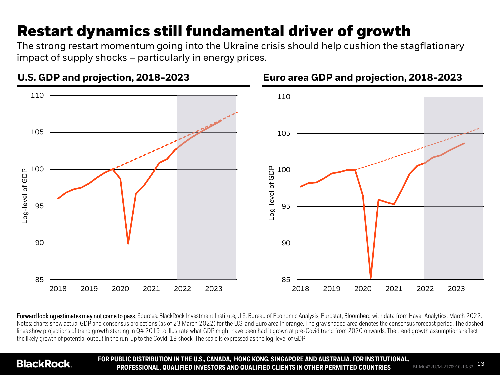# **Restart dynamics still fundamental driver of growth**

The strong restart momentum going into the Ukraine crisis should help cushion the stagflationary impact of supply shocks – particularly in energy prices.



Forward looking estimates may not come to pass. Sources: BlackRock Investment Institute, U.S. Bureau of Economic Analysis, Eurostat, Bloomberg with data from Haver Analytics, March 2022. Notes: charts show actual GDP and consensus projections (as of 23 March 2022) for the U.S. and Euro area in orange. The gray shaded area denotes the consensus forecast period. The dashed lines show projections of trend growth starting in Q4 2019 to illustrate what GDP might have been had it grown at pre-Covid trend from 2020 onwards. The trend growth assumptions reflect the likely growth of potential output in the run-up to the Covid-19 shock. The scale is expressed as the log-level of GDP.

## **BlackRock**

**FOR PUBLIC DISTRIBUTION IN THE U.S., CANADA, HONG KONG, SINGAPORE AND AUSTRALIA. FOR INSTITUTIONAL, PROFESSIONAL, QUALIFIED INVESTORS AND QUALIFIED CLIENTS IN OTHER PERMITTED COUNTRIES** BIIM0422U/M-2170910-13/32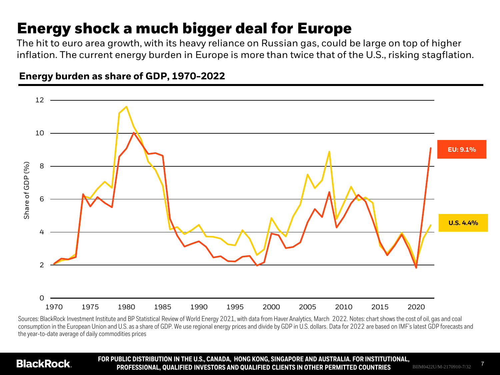## **Energy shock a much bigger deal for Europe**

The hit to euro area growth, with its heavy reliance on Russian gas, could be large on top of higher inflation. The current energy burden in Europe is more than twice that of the U.S., risking stagflation.



## **Energy burden as share of GDP, 1970-2022**

Sources: BlackRock Investment Institute and BP Statistical Review of World Energy 2021, with data from Haver Analytics, March 2022. Notes: chart shows the cost of oil, gas and coal consumption in the European Union and U.S. as a share of GDP. We use regional energy prices and divide by GDP in U.S. dollars. Data for 2022 are based on IMF's latest GDP forecasts and the year-to-date average of daily commodities prices

## **BlackRock**

**FOR PUBLIC DISTRIBUTION IN THE U.S., CANADA, HONG KONG, SINGAPORE AND AUSTRALIA. FOR INSTITUTIONAL, PROFESSIONAL, QUALIFIED INVESTORS AND QUALIFIED CLIENTS IN OTHER PERMITTED COUNTRIES** BIIM0422U/M-2170910-7/32

7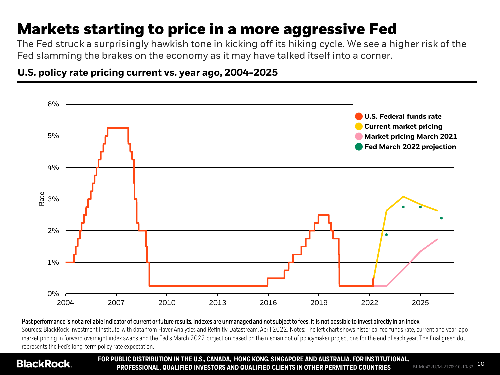# **Markets starting to price in a more aggressive Fed**

The Fed struck a surprisingly hawkish tone in kicking off its hiking cycle. We see a higher risk of the Fed slamming the brakes on the economy as it may have talked itself into a corner.

**U.S. policy rate pricing current vs. year ago, 2004-2025**



#### Past performance is not a reliable indicator of current or future results. Indexes are unmanaged and not subject to fees. It is not possible to invest directly in an index.

Sources: BlackRock Investment Institute, with data from Haver Analytics and Refinitiv Datastream, April 2022. Notes: The left chart shows historical fed funds rate, current and year-ago market pricing in forward overnight index swaps and the Fed's March 2022 projection based on the median dot of policymaker projections for the end of each year. The final green dot represents the Fed's long-term policy rate expectation.

## **BlackRock**

**FOR PUBLIC DISTRIBUTION IN THE U.S., CANADA, HONG KONG, SINGAPORE AND AUSTRALIA. FOR INSTITUTIONAL, PROFESSIONAL, QUALIFIED INVESTORS AND QUALIFIED CLIENTS IN OTHER PERMITTED COUNTRIES** BIIM0422U/M-2170910-10/32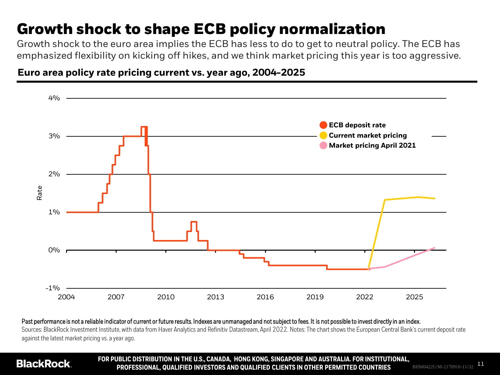# **Growth shock to shape ECB policy normalization**

Growth shock to the euro area implies the ECB has less to do to get to neutral policy. The ECB has emphasized flexibility on kicking off hikes, and we think market pricing this year is too aggressive.

**Euro area policy rate pricing current vs. year ago, 2004-2025**



### Past performance is not a reliable indicator of current or future results. Indexes are unmanaged and not subject to fees. It is not possible to invest directly in an index. Sources: BlackRock Investment Institute, with data from Haver Analytics and Refinitiv Datastream, April 2022. Notes: The chart shows the European Central Bank's current deposit rate against the latest market pricing vs. a year ago.

## **BlackRock**

**FOR PUBLIC DISTRIBUTION IN THE U.S., CANADA, HONG KONG, SINGAPORE AND AUSTRALIA. FOR INSTITUTIONAL, PROFESSIONAL, QUALIFIED INVESTORS AND QUALIFIED CLIENTS IN OTHER PERMITTED COUNTRIES** BIIM0422U/M-2170910-11/32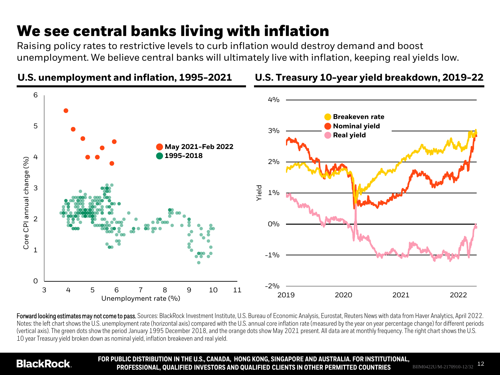# **We see central banks living with inflation**

**U.S. unemployment and inflation, 1995-2021**

Raising policy rates to restrictive levels to curb inflation would destroy demand and boost unemployment. We believe central banks will ultimately live with inflation, keeping real yields low.



## **U.S. Treasury 10-year yield breakdown, 2019-22**

Forward looking estimates may not come to pass. Sources: BlackRock Investment Institute, U.S. Bureau of Economic Analysis, Eurostat, Reuters News with data from Haver Analytics, April 2022. Notes: the left chart shows the U.S. unemployment rate (horizontal axis) compared with the U.S. annual core inflation rate (measured by the year on year percentage change) for different periods (vertical axis). The green dots show the period January 1995 December 2018, and the orange dots show May 2021 present. All data are at monthly frequency. The right chart shows the U.S. 10 year Treasury yield broken down as nominal yield, inflation breakeven and real yield.

## **BlackRock**

**FOR PUBLIC DISTRIBUTION IN THE U.S., CANADA, HONG KONG, SINGAPORE AND AUSTRALIA. FOR INSTITUTIONAL, PROFESSIONAL, QUALIFIED INVESTORS AND QUALIFIED CLIENTS IN OTHER PERMITTED COUNTRIES** BIIM0422U/M-2170910-12/32